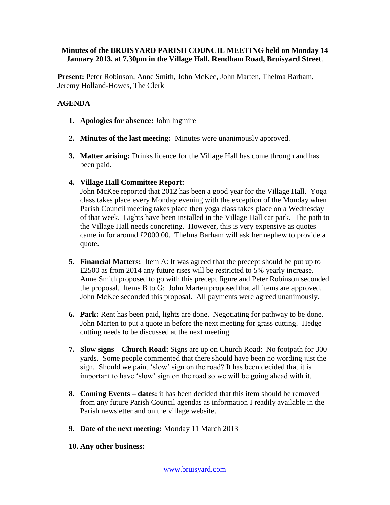## **Minutes of the BRUISYARD PARISH COUNCIL MEETING held on Monday 14 January 2013, at 7.30pm in the Village Hall, Rendham Road, Bruisyard Street**.

**Present:** Peter Robinson, Anne Smith, John McKee, John Marten, Thelma Barham, Jeremy Holland-Howes, The Clerk

## **AGENDA**

- **1. Apologies for absence:** John Ingmire
- **2. Minutes of the last meeting:** Minutes were unanimously approved.
- **3. Matter arising:** Drinks licence for the Village Hall has come through and has been paid.
- **4. Village Hall Committee Report:**

John McKee reported that 2012 has been a good year for the Village Hall. Yoga class takes place every Monday evening with the exception of the Monday when Parish Council meeting takes place then yoga class takes place on a Wednesday of that week. Lights have been installed in the Village Hall car park. The path to the Village Hall needs concreting. However, this is very expensive as quotes came in for around £2000.00. Thelma Barham will ask her nephew to provide a quote.

- **5. Financial Matters:** Item A: It was agreed that the precept should be put up to £2500 as from 2014 any future rises will be restricted to 5% yearly increase. Anne Smith proposed to go with this precept figure and Peter Robinson seconded the proposal. Items B to G: John Marten proposed that all items are approved. John McKee seconded this proposal. All payments were agreed unanimously.
- **6. Park:** Rent has been paid, lights are done. Negotiating for pathway to be done. John Marten to put a quote in before the next meeting for grass cutting. Hedge cutting needs to be discussed at the next meeting.
- **7. Slow signs – Church Road:** Signs are up on Church Road: No footpath for 300 yards. Some people commented that there should have been no wording just the sign. Should we paint 'slow' sign on the road? It has been decided that it is important to have 'slow' sign on the road so we will be going ahead with it.
- **8. Coming Events – dates:** it has been decided that this item should be removed from any future Parish Council agendas as information I readily available in the Parish newsletter and on the village website.
- **9. Date of the next meeting:** Monday 11 March 2013
- **10. Any other business:**